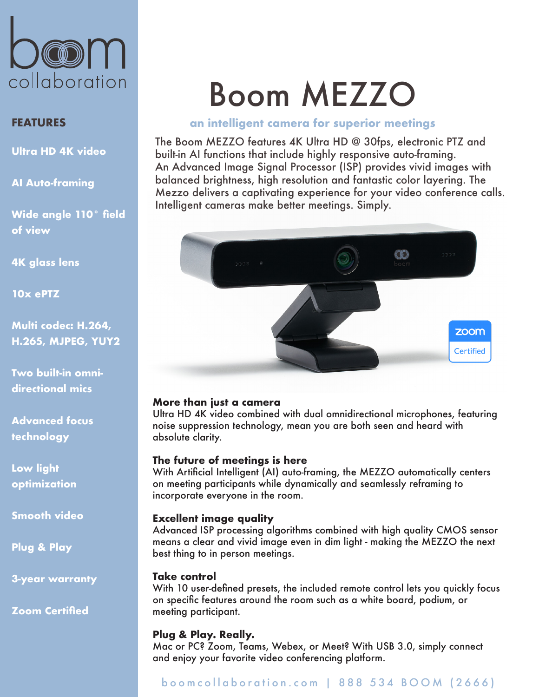

# **FEATURES**

**Ultra HD 4K video**

**AI Auto-framing**

**Wide angle 110° field of view**

**4K glass lens**

**10x ePTZ**

**Multi codec: H.264, H.265, MJPEG, YUY2**

**Two built-in omnidirectional mics**

**Advanced focus technology**

**Low light optimization**

**Smooth video**

**Plug & Play** 

**3-year warranty**

**Zoom Certified**

# Boom MEZZO

#### **an intelligent camera for superior meetings**

The Boom MEZZO features 4K Ultra HD @ 30fps, electronic PTZ and built-in AI functions that include highly responsive auto-framing. An Advanced Image Signal Processor (ISP) provides vivid images with balanced brightness, high resolution and fantastic color layering. The Mezzo delivers a captivating experience for your video conference calls. Intelligent cameras make better meetings. Simply.



#### **More than just a camera**

Ultra HD 4K video combined with dual omnidirectional microphones, featuring noise suppression technology, mean you are both seen and heard with absolute clarity.

#### **The future of meetings is here**

With Artificial Intelligent (AI) auto-framing, the MEZZO automatically centers on meeting participants while dynamically and seamlessly reframing to incorporate everyone in the room.

#### **Excellent image quality**

Advanced ISP processing algorithms combined with high quality CMOS sensor means a clear and vivid image even in dim light - making the MEZZO the next best thing to in person meetings.

#### **Take control**

With 10 user-defined presets, the included remote control lets you quickly focus on specific features around the room such as a white board, podium, or meeting participant.

#### **Plug & Play. Really.**

Mac or PC? Zoom, Teams, Webex, or Meet? With USB 3.0, simply connect and enjoy your favorite video conferencing platform.